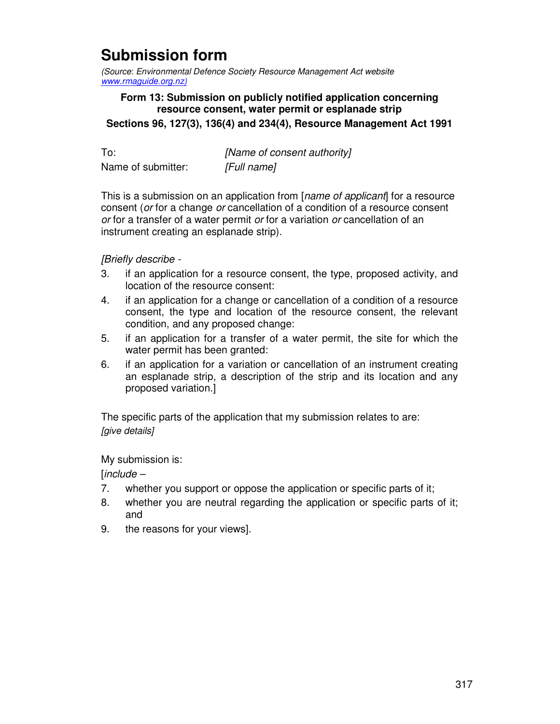## **Submission form**

(Source: Environmental Defence Society Resource Management Act website www.rmaguide.org.nz)

## **Form 13: Submission on publicly notified application concerning resource consent, water permit or esplanade strip Sections 96, 127(3), 136(4) and 234(4), Resource Management Act 1991**

To: [Name of consent authority] Name of submitter: [Full name]

This is a submission on an application from [name of applicant] for a resource consent (or for a change or cancellation of a condition of a resource consent or for a transfer of a water permit or for a variation or cancellation of an instrument creating an esplanade strip).

[Briefly describe -

- 3. if an application for a resource consent, the type, proposed activity, and location of the resource consent:
- 4. if an application for a change or cancellation of a condition of a resource consent, the type and location of the resource consent, the relevant condition, and any proposed change:
- 5. if an application for a transfer of a water permit, the site for which the water permit has been granted:
- 6. if an application for a variation or cancellation of an instrument creating an esplanade strip, a description of the strip and its location and any proposed variation.]

The specific parts of the application that my submission relates to are: [give details]

My submission is:

 $lineude -$ 

- 7. whether you support or oppose the application or specific parts of it;
- 8. whether you are neutral regarding the application or specific parts of it; and
- 9. the reasons for your views].